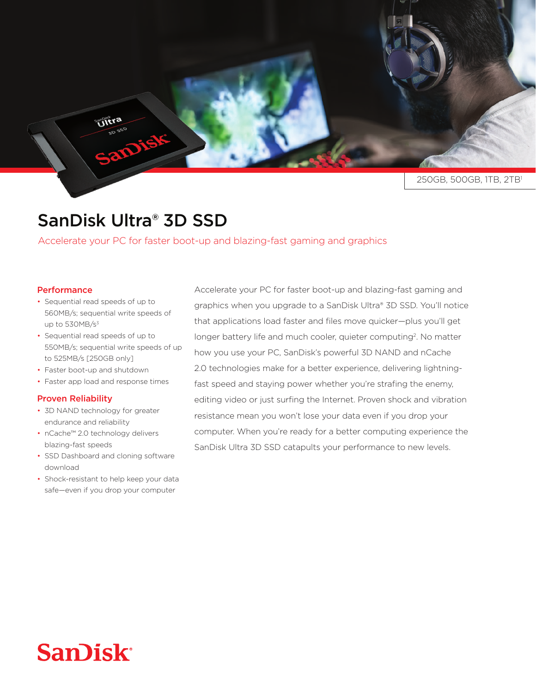250GB, 500GB, 1TB, 2TB<sup>1</sup>

## SanDisk Ultra<sup>®</sup> 3D SSD

Accelerate your PC for faster boot-up and blazing-fast gaming and graphics

## **Performance**

• Sequential read speeds of up to 560MB/s; sequential write speeds of up to  $530MB/s^3$ 

Ultra

- Sequential read speeds of up to 550MB/s; sequential write speeds of up to 525MB/s [250GB only]
- Faster boot-up and shutdown
- Faster app load and response times

## **Proven Reliability**

- 3D NAND technology for greater endurance and reliability
- nCache<sup>™</sup> 2.0 technology delivers blazing-fast speeds
- SSD Dashboard and cloning software download
- Shock-resistant to help keep your data safe-even if you drop your computer

Accelerate your PC for faster boot-up and blazing-fast gaming and graphics when you upgrade to a SanDisk Ultra® 3D SSD. You'll notice that applications load faster and files move quicker-plus you'll get longer battery life and much cooler, quieter computing<sup>2</sup>. No matter how you use your PC, SanDisk's powerful 3D NAND and nCache fast speed and staying power whether you're strafing the enemy, 2.0 technologies make for a better experience, delivering lightningediting video or just surfing the Internet. Proven shock and vibration resistance mean you won't lose your data even if you drop your computer. When you're ready for a better computing experience the SanDisk Ultra 3D SSD catapults your performance to new levels.

## **San)isk**<sup>®</sup>